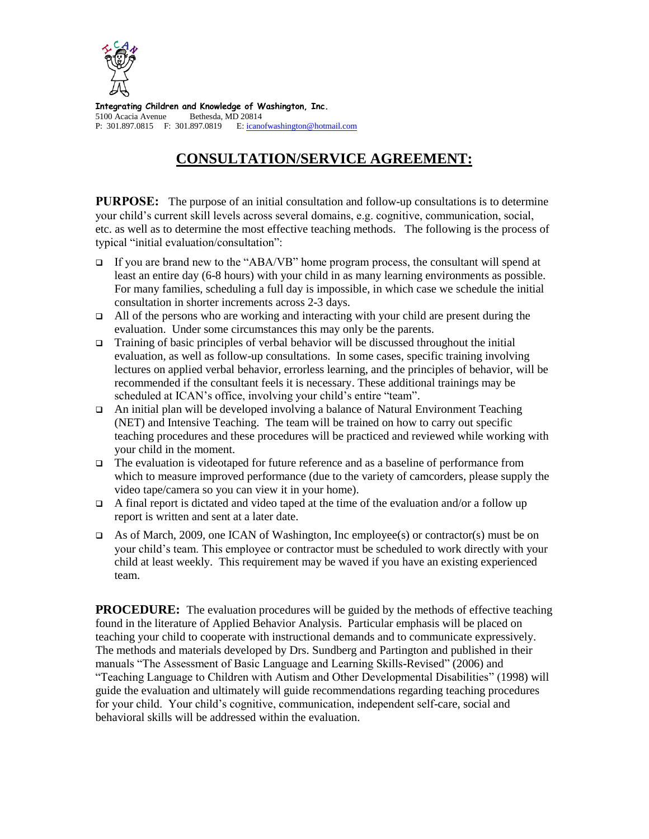

**Integrating Children and Knowledge of Washington, Inc.** 5100 Acacia Avenue Bethesda, MD 20814 P: 301.897.0815 F: 301.897.0819 E[: icanofwashington@hotmail.com](mailto:icanofwashington@hotmail.com)

# **CONSULTATION/SERVICE AGREEMENT:**

**PURPOSE:** The purpose of an initial consultation and follow-up consultations is to determine your child's current skill levels across several domains, e.g. cognitive, communication, social, etc. as well as to determine the most effective teaching methods. The following is the process of typical "initial evaluation/consultation":

- If you are brand new to the "ABA/VB" home program process, the consultant will spend at least an entire day (6-8 hours) with your child in as many learning environments as possible. For many families, scheduling a full day is impossible, in which case we schedule the initial consultation in shorter increments across 2-3 days.
- $\Box$  All of the persons who are working and interacting with your child are present during the evaluation. Under some circumstances this may only be the parents.
- $\Box$  Training of basic principles of verbal behavior will be discussed throughout the initial evaluation, as well as follow-up consultations. In some cases, specific training involving lectures on applied verbal behavior, errorless learning, and the principles of behavior, will be recommended if the consultant feels it is necessary. These additional trainings may be scheduled at ICAN's office, involving your child's entire "team".
- An initial plan will be developed involving a balance of Natural Environment Teaching (NET) and Intensive Teaching. The team will be trained on how to carry out specific teaching procedures and these procedures will be practiced and reviewed while working with your child in the moment.
- $\Box$  The evaluation is videotaped for future reference and as a baseline of performance from which to measure improved performance (due to the variety of camcorders, please supply the video tape/camera so you can view it in your home).
- A final report is dictated and video taped at the time of the evaluation and/or a follow up report is written and sent at a later date.
- As of March, 2009, one ICAN of Washington, Inc employee(s) or contractor(s) must be on your child's team. This employee or contractor must be scheduled to work directly with your child at least weekly. This requirement may be waved if you have an existing experienced team.

**PROCEDURE:** The evaluation procedures will be guided by the methods of effective teaching found in the literature of Applied Behavior Analysis. Particular emphasis will be placed on teaching your child to cooperate with instructional demands and to communicate expressively. The methods and materials developed by Drs. Sundberg and Partington and published in their manuals "The Assessment of Basic Language and Learning Skills-Revised" (2006) and "Teaching Language to Children with Autism and Other Developmental Disabilities" (1998) will guide the evaluation and ultimately will guide recommendations regarding teaching procedures for your child. Your child's cognitive, communication, independent self-care, social and behavioral skills will be addressed within the evaluation.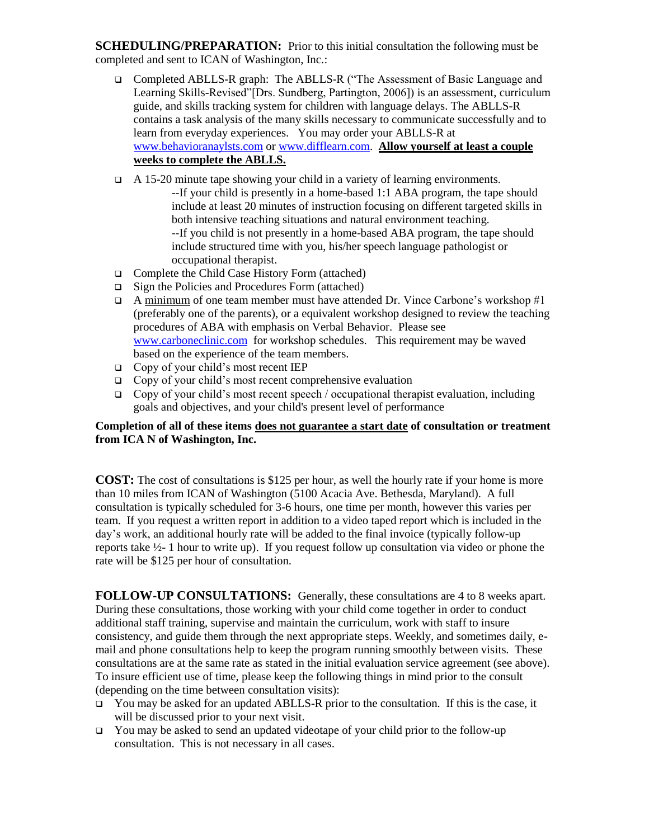**SCHEDULING/PREPARATION:** Prior to this initial consultation the following must be completed and sent to ICAN of Washington, Inc.:

- Completed ABLLS-R graph: The ABLLS-R ("The Assessment of Basic Language and Learning Skills-Revised"[Drs. Sundberg, Partington, 2006]) is an assessment, curriculum guide, and skills tracking system for children with language delays. The ABLLS-R contains a task analysis of the many skills necessary to communicate successfully and to learn from everyday experiences. You may order your ABLLS-R at [www.behavioranaylsts.com](http://www.behavioranaylsts.com/) or [www.difflearn.com.](http://www.difflearn.com/) **Allow yourself at least a couple weeks to complete the ABLLS.**
- A 15-20 minute tape showing your child in a variety of learning environments. --If your child is presently in a home-based 1:1 ABA program, the tape should include at least 20 minutes of instruction focusing on different targeted skills in both intensive teaching situations and natural environment teaching. --If you child is not presently in a home-based ABA program, the tape should include structured time with you, his/her speech language pathologist or occupational therapist.
- □ Complete the Child Case History Form (attached)
- $\Box$  Sign the Policies and Procedures Form (attached)
- A minimum of one team member must have attended Dr. Vince Carbone's workshop  $\#1$ (preferably one of the parents), or a equivalent workshop designed to review the teaching procedures of ABA with emphasis on Verbal Behavior. Please see [www.carboneclinic.com](http://www.carboneclinic.com/) for workshop schedules. This requirement may be waved based on the experience of the team members.
- $\Box$  Copy of your child's most recent IEP
- $\Box$  Copy of your child's most recent comprehensive evaluation
- Copy of your child's most recent speech / occupational therapist evaluation, including goals and objectives, and your child's present level of performance

#### **Completion of all of these items does not guarantee a start date of consultation or treatment from ICA N of Washington, Inc.**

**COST:** The cost of consultations is \$125 per hour, as well the hourly rate if your home is more than 10 miles from ICAN of Washington (5100 Acacia Ave. Bethesda, Maryland). A full consultation is typically scheduled for 3-6 hours, one time per month, however this varies per team. If you request a written report in addition to a video taped report which is included in the day's work, an additional hourly rate will be added to the final invoice (typically follow-up reports take  $\frac{1}{2}$ - 1 hour to write up). If you request follow up consultation via video or phone the rate will be \$125 per hour of consultation.

**FOLLOW-UP CONSULTATIONS:** Generally, these consultations are 4 to 8 weeks apart. During these consultations, those working with your child come together in order to conduct additional staff training, supervise and maintain the curriculum, work with staff to insure consistency, and guide them through the next appropriate steps. Weekly, and sometimes daily, email and phone consultations help to keep the program running smoothly between visits. These consultations are at the same rate as stated in the initial evaluation service agreement (see above). To insure efficient use of time, please keep the following things in mind prior to the consult (depending on the time between consultation visits):

- $\Box$  You may be asked for an updated ABLLS-R prior to the consultation. If this is the case, it will be discussed prior to your next visit.
- $\Box$  You may be asked to send an updated videotape of your child prior to the follow-up consultation. This is not necessary in all cases.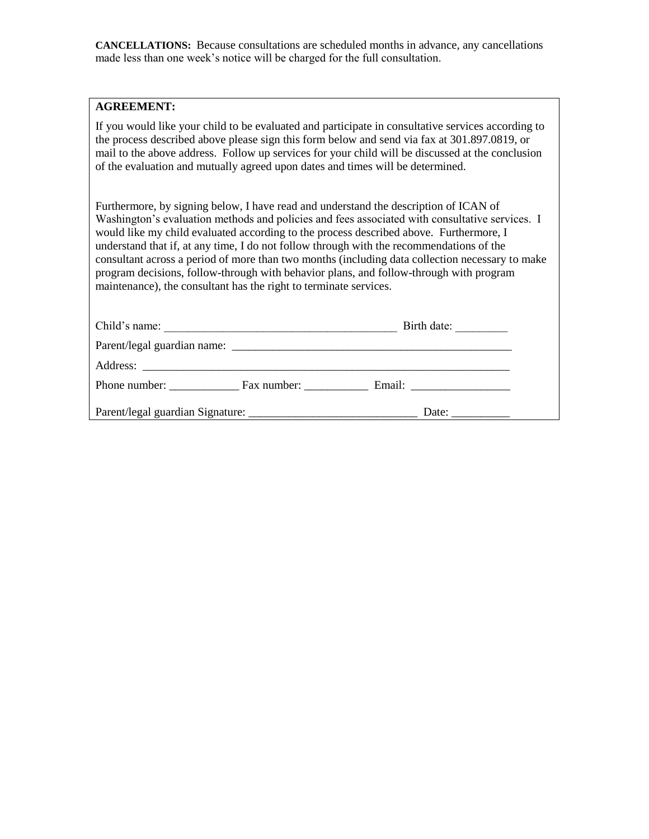**CANCELLATIONS:** Because consultations are scheduled months in advance, any cancellations made less than one week's notice will be charged for the full consultation.

#### **AGREEMENT:**

If you would like your child to be evaluated and participate in consultative services according to the process described above please sign this form below and send via fax at 301.897.0819, or mail to the above address. Follow up services for your child will be discussed at the conclusion of the evaluation and mutually agreed upon dates and times will be determined.

Furthermore, by signing below, I have read and understand the description of ICAN of Washington's evaluation methods and policies and fees associated with consultative services. I would like my child evaluated according to the process described above. Furthermore, I understand that if, at any time, I do not follow through with the recommendations of the consultant across a period of more than two months (including data collection necessary to make program decisions, follow-through with behavior plans, and follow-through with program maintenance), the consultant has the right to terminate services.

| Child's name:                    |  | Birth date:            |
|----------------------------------|--|------------------------|
|                                  |  |                        |
|                                  |  |                        |
| Phone number: <u>Fax number:</u> |  | Email: $\qquad \qquad$ |
|                                  |  |                        |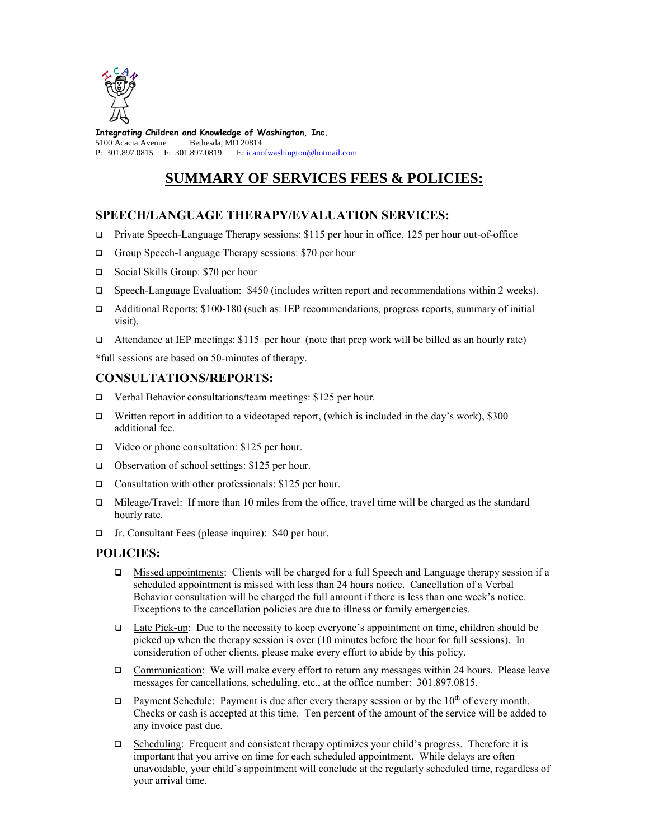

**Integrating Children and Knowledge of Washington, Inc.** 5100 Acacia Avenue Bethesda, MD 20814 P: 301.897.0815 F: 301.897.0819 E[: icanofwashington@hotmail.com](mailto:icanofwashington@hotmail.com)

## **SUMMARY OF SERVICES FEES & POLICIES:**

### **SPEECH/LANGUAGE THERAPY/EVALUATION SERVICES:**

- Private Speech-Language Therapy sessions: \$115 per hour in office, 125 per hour out-of-office
- □ Group Speech-Language Therapy sessions: \$70 per hour
- □ Social Skills Group: \$70 per hour
- $\Box$  Speech-Language Evaluation: \$450 (includes written report and recommendations within 2 weeks).
- Additional Reports: \$100-180 (such as: IEP recommendations, progress reports, summary of initial visit).
- Attendance at IEP meetings: \$115 per hour (note that prep work will be billed as an hourly rate)

**\***full sessions are based on 50-minutes of therapy.

#### **CONSULTATIONS/REPORTS:**

- □ Verbal Behavior consultations/team meetings: \$125 per hour.
- Written report in addition to a videotaped report, (which is included in the day's work), \$300 additional fee.
- Video or phone consultation: \$125 per hour.
- □ Observation of school settings: \$125 per hour.
- □ Consultation with other professionals: \$125 per hour.
- $\Box$  Mileage/Travel: If more than 10 miles from the office, travel time will be charged as the standard hourly rate.
- Jr. Consultant Fees (please inquire): \$40 per hour.

### **POLICIES:**

- $\Box$  Missed appointments: Clients will be charged for a full Speech and Language therapy session if a scheduled appointment is missed with less than 24 hours notice. Cancellation of a Verbal Behavior consultation will be charged the full amount if there is less than one week's notice. Exceptions to the cancellation policies are due to illness or family emergencies.
- $\Box$  Late Pick-up: Due to the necessity to keep everyone's appointment on time, children should be picked up when the therapy session is over (10 minutes before the hour for full sessions). In consideration of other clients, please make every effort to abide by this policy.
- Communication: We will make every effort to return any messages within 24 hours. Please leave messages for cancellations, scheduling, etc., at the office number: 301.897.0815.
- $\Box$  Payment Schedule: Payment is due after every therapy session or by the 10<sup>th</sup> of every month. Checks or cash is accepted at this time. Ten percent of the amount of the service will be added to any invoice past due.
- Scheduling: Frequent and consistent therapy optimizes your child's progress. Therefore it is important that you arrive on time for each scheduled appointment. While delays are often unavoidable, your child's appointment will conclude at the regularly scheduled time, regardless of your arrival time.